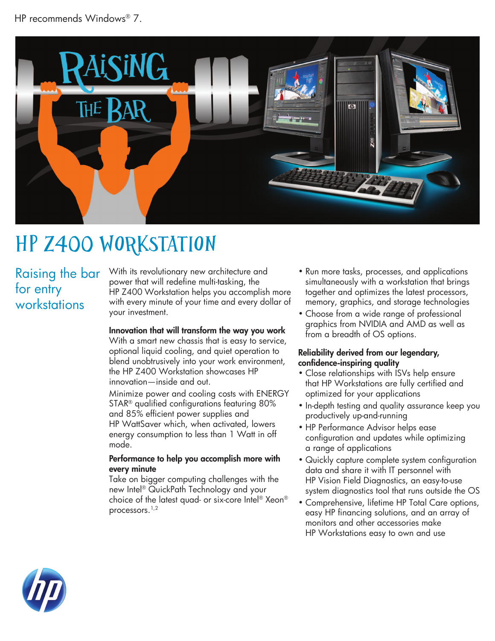

# HP z400 Workstation

### Raising the bar for entry workstations

With its revolutionary new architecture and power that will redefine multi-tasking, the HP Z400 Workstation helps you accomplish more with every minute of your time and every dollar of your investment.

#### Innovation that will transform the way you work

With a smart new chassis that is easy to service, optional liquid cooling, and quiet operation to blend unobtrusively into your work environment, the HP Z400 Workstation showcases HP innovation—inside and out.

Minimize power and cooling costs with ENERGY STAR® qualified configurations featuring 80% and 85% efficient power supplies and HP WattSaver which, when activated, lowers energy consumption to less than 1 Watt in off mode.

#### Performance to help you accomplish more with every minute

Take on bigger computing challenges with the new Intel® QuickPath Technology and your choice of the latest quad- or six-core Intel® Xeon® processors.<sup>1,2</sup>

- Run more tasks, processes, and applications simultaneously with a workstation that brings together and optimizes the latest processors, memory, graphics, and storage technologies
- Choose from a wide range of professional graphics from NVIDIA and AMD as well as from a breadth of OS options.

#### Reliability derived from our legendary, confidence-inspiring quality

- Close relationships with ISVs help ensure that HP Workstations are fully certified and optimized for your applications
- In-depth testing and quality assurance keep you productively up-and-running
- HP Performance Advisor helps ease configuration and updates while optimizing a range of applications
- Quickly capture complete system configuration data and share it with IT personnel with HP Vision Field Diagnostics, an easy-to-use system diagnostics tool that runs outside the OS
- Comprehensive, lifetime HP Total Care options, easy HP financing solutions, and an array of monitors and other accessories make HP Workstations easy to own and use